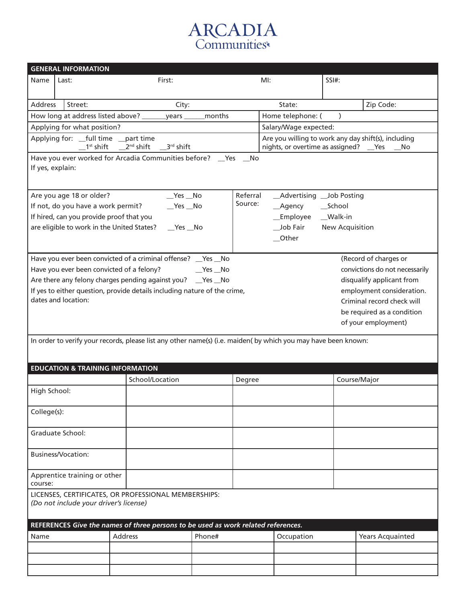## **ARCADIA**<br>Communities®

|                                                                                                                                                                            | <b>GENERAL INFORMATION</b>                                                                  |                                                                                                                |        |                                    |                                                                                                       |              |                            |  |
|----------------------------------------------------------------------------------------------------------------------------------------------------------------------------|---------------------------------------------------------------------------------------------|----------------------------------------------------------------------------------------------------------------|--------|------------------------------------|-------------------------------------------------------------------------------------------------------|--------------|----------------------------|--|
| Name                                                                                                                                                                       | Last:                                                                                       | First:                                                                                                         |        | $Ml$ :                             |                                                                                                       | $SSI#$ :     |                            |  |
|                                                                                                                                                                            |                                                                                             |                                                                                                                |        |                                    |                                                                                                       |              |                            |  |
| Address                                                                                                                                                                    | Street:                                                                                     | City:                                                                                                          |        |                                    | State:                                                                                                |              | Zip Code:                  |  |
|                                                                                                                                                                            |                                                                                             | How long at address listed above? _________ years ___                                                          | months |                                    | Home telephone: (                                                                                     | $\lambda$    |                            |  |
|                                                                                                                                                                            | Applying for what position?<br>Salary/Wage expected:                                        |                                                                                                                |        |                                    |                                                                                                       |              |                            |  |
|                                                                                                                                                                            | Applying for: __full time __part time                                                       | $1^{st}$ shift $2^{nd}$ shift $3^{rd}$ shift                                                                   |        |                                    | Are you willing to work any day shift(s), including<br>nights, or overtime as assigned? __ Yes ___ No |              |                            |  |
|                                                                                                                                                                            |                                                                                             |                                                                                                                |        |                                    |                                                                                                       |              |                            |  |
| Have you ever worked for Arcadia Communities before? __ Yes __ No<br>If yes, explain:                                                                                      |                                                                                             |                                                                                                                |        |                                    |                                                                                                       |              |                            |  |
|                                                                                                                                                                            |                                                                                             |                                                                                                                |        |                                    |                                                                                                       |              |                            |  |
|                                                                                                                                                                            | Are you age 18 or older?                                                                    | $Yes$ No                                                                                                       |        | Referral                           | _Advertising __Job Posting                                                                            |              |                            |  |
| If not, do you have a work permit?<br>$Yes$ No                                                                                                                             |                                                                                             |                                                                                                                |        | Source:<br>__School<br>__Agency    |                                                                                                       |              |                            |  |
|                                                                                                                                                                            | If hired, can you provide proof that you                                                    |                                                                                                                |        | _Employee __Walk-in                |                                                                                                       |              |                            |  |
|                                                                                                                                                                            | are eligible to work in the United States?                                                  | $Yes$ No                                                                                                       |        | Job Fair<br><b>New Acquisition</b> |                                                                                                       |              |                            |  |
|                                                                                                                                                                            |                                                                                             |                                                                                                                |        |                                    | __Other                                                                                               |              |                            |  |
|                                                                                                                                                                            |                                                                                             |                                                                                                                |        |                                    |                                                                                                       |              | (Record of charges or      |  |
| Have you ever been convicted of a criminal offense? _Yes _No<br>Have you ever been convicted of a felony?<br>convictions do not necessarily<br><b>Example Stress No. 7</b> |                                                                                             |                                                                                                                |        |                                    |                                                                                                       |              |                            |  |
|                                                                                                                                                                            | Are there any felony charges pending against you? __ Yes __ No<br>disqualify applicant from |                                                                                                                |        |                                    |                                                                                                       |              |                            |  |
|                                                                                                                                                                            |                                                                                             | If yes to either question, provide details including nature of the crime,                                      |        |                                    |                                                                                                       |              | employment consideration.  |  |
|                                                                                                                                                                            | dates and location:                                                                         |                                                                                                                |        |                                    |                                                                                                       |              | Criminal record check will |  |
|                                                                                                                                                                            |                                                                                             |                                                                                                                |        | be required as a condition         |                                                                                                       |              |                            |  |
|                                                                                                                                                                            |                                                                                             |                                                                                                                |        |                                    |                                                                                                       |              | of your employment)        |  |
|                                                                                                                                                                            |                                                                                             |                                                                                                                |        |                                    |                                                                                                       |              |                            |  |
|                                                                                                                                                                            |                                                                                             | In order to verify your records, please list any other name(s) (i.e. maiden( by which you may have been known: |        |                                    |                                                                                                       |              |                            |  |
|                                                                                                                                                                            |                                                                                             |                                                                                                                |        |                                    |                                                                                                       |              |                            |  |
|                                                                                                                                                                            | <b>EDUCATION &amp; TRAINING INFORMATION</b>                                                 |                                                                                                                |        |                                    |                                                                                                       |              |                            |  |
|                                                                                                                                                                            |                                                                                             | School/Location                                                                                                |        | Degree                             |                                                                                                       | Course/Major |                            |  |
| High School:                                                                                                                                                               |                                                                                             |                                                                                                                |        |                                    |                                                                                                       |              |                            |  |
| College(s):                                                                                                                                                                |                                                                                             |                                                                                                                |        |                                    |                                                                                                       |              |                            |  |
|                                                                                                                                                                            | Graduate School:                                                                            |                                                                                                                |        |                                    |                                                                                                       |              |                            |  |
|                                                                                                                                                                            | <b>Business/Vocation:</b>                                                                   |                                                                                                                |        |                                    |                                                                                                       |              |                            |  |
|                                                                                                                                                                            |                                                                                             |                                                                                                                |        |                                    |                                                                                                       |              |                            |  |
| course:                                                                                                                                                                    | Apprentice training or other                                                                |                                                                                                                |        |                                    |                                                                                                       |              |                            |  |
|                                                                                                                                                                            |                                                                                             | LICENSES, CERTIFICATES, OR PROFESSIONAL MEMBERSHIPS:                                                           |        |                                    |                                                                                                       |              |                            |  |
|                                                                                                                                                                            | (Do not include your driver's license)                                                      |                                                                                                                |        |                                    |                                                                                                       |              |                            |  |
| REFERENCES Give the names of three persons to be used as work related references.                                                                                          |                                                                                             |                                                                                                                |        |                                    |                                                                                                       |              |                            |  |
| Name                                                                                                                                                                       |                                                                                             | <b>Address</b>                                                                                                 | Phone# |                                    | Occupation                                                                                            |              | <b>Years Acquainted</b>    |  |
|                                                                                                                                                                            |                                                                                             |                                                                                                                |        |                                    |                                                                                                       |              |                            |  |
|                                                                                                                                                                            |                                                                                             |                                                                                                                |        |                                    |                                                                                                       |              |                            |  |
|                                                                                                                                                                            |                                                                                             |                                                                                                                |        |                                    |                                                                                                       |              |                            |  |